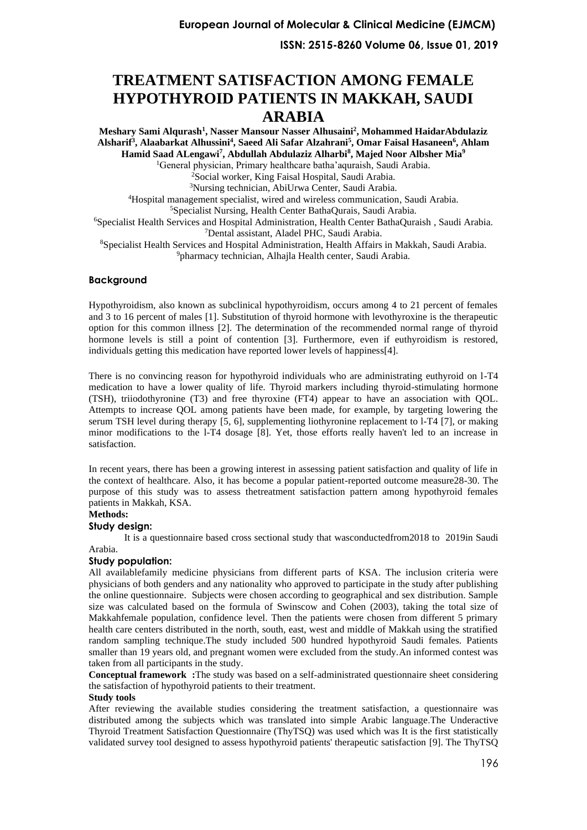# **TREATMENT SATISFACTION AMONG FEMALE HYPOTHYROID PATIENTS IN MAKKAH, SAUDI ARABIA**

**Meshary Sami Alqurash<sup>1</sup> , Nasser Mansour Nasser Alhusaini<sup>2</sup> , Mohammed HaidarAbdulaziz Alsharif<sup>3</sup> , Alaabarkat Alhussini<sup>4</sup> , Saeed Ali Safar Alzahrani<sup>5</sup> , Omar Faisal Hasaneen<sup>6</sup> , Ahlam Hamid Saad ALengawi<sup>7</sup> , Abdullah Abdulaziz Alharbi<sup>8</sup> , Majed Noor Albsher Mia<sup>9</sup>** General physician, Primary healthcare batha'aquraish, Saudi Arabia. Social worker, King Faisal Hospital, Saudi Arabia. Nursing technician, AbiUrwa Center, Saudi Arabia. Hospital management specialist, wired and wireless communication, Saudi Arabia. Specialist Nursing, Health Center BathaQurais, Saudi Arabia. Specialist Health Services and Hospital Administration, Health Center BathaQuraish , Saudi Arabia. Dental assistant, Aladel PHC, Saudi Arabia. Specialist Health Services and Hospital Administration, Health Affairs in Makkah, Saudi Arabia. pharmacy technician, Alhajla Health center, Saudi Arabia.

# **Background**

Hypothyroidism, also known as subclinical hypothyroidism, occurs among 4 to 21 percent of females and 3 to 16 percent of males [\[1\]](#page-6-0). Substitution of thyroid hormone with levothyroxine is the therapeutic option for this common illness [\[2\]](#page-6-1). The determination of the recommended normal range of thyroid hormone levels is still a point of contention [\[3\]](#page-6-2). Furthermore, even if euthyroidism is restored, individuals getting this medication have reported lower levels of happiness[\[4\]](#page-6-3).

There is no convincing reason for hypothyroid individuals who are administrating euthyroid on l-T4 medication to have a lower quality of life. Thyroid markers including thyroid-stimulating hormone (TSH), triiodothyronine (T3) and free thyroxine (FT4) appear to have an association with QOL. Attempts to increase QOL among patients have been made, for example, by targeting lowering the serum TSH level during therapy [\[5,](#page-6-4) [6\]](#page-6-5), supplementing liothyronine replacement to l-T4 [\[7\]](#page-6-6), or making minor modifications to the l-T4 dosage [\[8\]](#page-6-7). Yet, those efforts really haven't led to an increase in satisfaction.

In recent years, there has been a growing interest in assessing patient satisfaction and quality of life in the context of healthcare. Also, it has become a popular patient-reported outcome measure28-30. The purpose of this study was to assess thetreatment satisfaction pattern among hypothyroid females patients in Makkah, KSA.

### **Methods:**

# **Study design:**

It is a questionnaire based cross sectional study that wasconductedfrom2018 to 2019in Saudi Arabia.

# **Study population:**

All availablefamily medicine physicians from different parts of KSA. The inclusion criteria were physicians of both genders and any nationality who approved to participate in the study after publishing the online questionnaire. Subjects were chosen according to geographical and sex distribution. Sample size was calculated based on the formula of Swinscow and Cohen (2003), taking the total size of Makkahfemale population, confidence level. Then the patients were chosen from different 5 primary health care centers distributed in the north, south, east, west and middle of Makkah using the stratified random sampling technique.The study included 500 hundred hypothyroid Saudi females. Patients smaller than 19 years old, and pregnant women were excluded from the study.An informed contest was taken from all participants in the study.

**Conceptual framework :**The study was based on a self-administrated questionnaire sheet considering the satisfaction of hypothyroid patients to their treatment.

### **Study tools**

After reviewing the available studies considering the treatment satisfaction, a questionnaire was distributed among the subjects which was translated into simple Arabic language.The Underactive Thyroid Treatment Satisfaction Questionnaire (ThyTSQ) was used which was It is the first statistically validated survey tool designed to assess hypothyroid patients' therapeutic satisfaction [\[9\]](#page-6-8). The ThyTSQ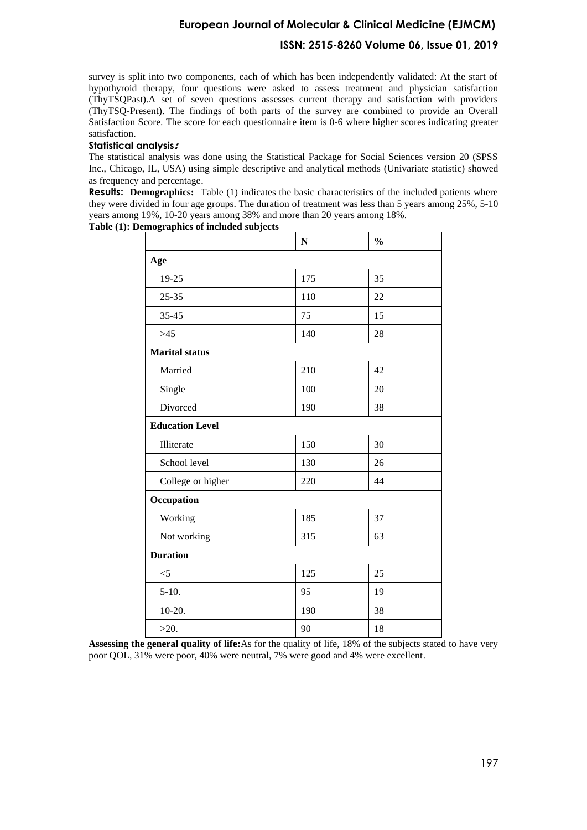# **European Journal of Molecular & Clinical Medicine (EJMCM)**

# **ISSN: 2515-8260 Volume 06, Issue 01, 2019**

survey is split into two components, each of which has been independently validated: At the start of hypothyroid therapy, four questions were asked to assess treatment and physician satisfaction (ThyTSQPast).A set of seven questions assesses current therapy and satisfaction with providers (ThyTSQ-Present). The findings of both parts of the survey are combined to provide an Overall Satisfaction Score. The score for each questionnaire item is 0-6 where higher scores indicating greater satisfaction.

# **Statistical analysis :**

The statistical analysis was done using the Statistical Package for Social Sciences version 20 (SPSS Inc., Chicago, IL, USA) using simple descriptive and analytical methods (Univariate statistic) showed as frequency and percentage.

**Results:** Demographics: Table (1) indicates the basic characteristics of the included patients where they were divided in four age groups. The duration of treatment was less than 5 years among 25%, 5-10 years among 19%, 10-20 years among 38% and more than 20 years among 18%.

**N % Age**  19-25 175 35 25-35 110 22 35-45 75 15  $>45$  140 28 **Marital status**  Married 210 42 Single 100 20 Divorced 190 38 **Education Level** Illiterate 150 30 School level 130 26 College or higher 220 44 **Occupation**

> Working 185 37 Not working 315 63

> $\leq$  125 25  $5-10.$  95 19  $10-20.$  190  $38$

 $>20.$  90 18

|  |  | Table (1): Demographics of included subjects |
|--|--|----------------------------------------------|

**Duration**

| <b>Assessing the general quality of life:</b> As for the quality of life, 18% of the subjects stated to have very |  |  |
|-------------------------------------------------------------------------------------------------------------------|--|--|
| poor QOL, 31% were poor, 40% were neutral, 7% were good and 4% were excellent.                                    |  |  |

| um. | - |
|-----|---|
|     |   |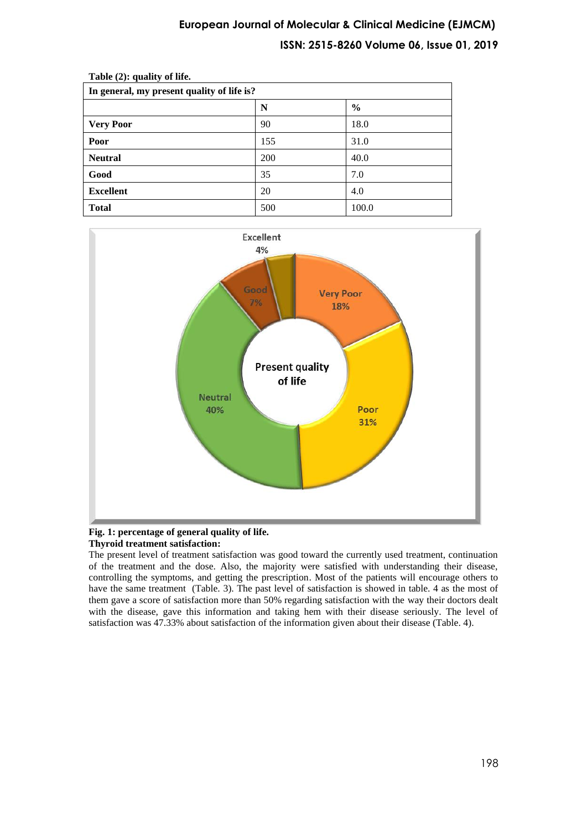# **European Journal of Molecular & Clinical Medicine (EJMCM) ISSN: 2515-8260 Volume 06, Issue 01, 2019**

| $20000$ $(2)$ , quantly $\sigma$ and $\sigma$<br>In general, my present quality of life is? |     |               |  |  |  |  |
|---------------------------------------------------------------------------------------------|-----|---------------|--|--|--|--|
|                                                                                             | N   | $\frac{6}{9}$ |  |  |  |  |
| <b>Very Poor</b>                                                                            | 90  | 18.0          |  |  |  |  |
| Poor                                                                                        | 155 | 31.0          |  |  |  |  |
| <b>Neutral</b>                                                                              | 200 | 40.0          |  |  |  |  |
| Good                                                                                        | 35  | 7.0           |  |  |  |  |
| <b>Excellent</b>                                                                            | 20  | 4.0           |  |  |  |  |
| <b>Total</b>                                                                                | 500 | 100.0         |  |  |  |  |

**Table (2): quality of life.** 



### **Fig. 1: percentage of general quality of life. Thyroid treatment satisfaction:**

The present level of treatment satisfaction was good toward the currently used treatment, continuation of the treatment and the dose. Also, the majority were satisfied with understanding their disease, controlling the symptoms, and getting the prescription. Most of the patients will encourage others to have the same treatment (Table. 3). The past level of satisfaction is showed in table. 4 as the most of them gave a score of satisfaction more than 50% regarding satisfaction with the way their doctors dealt with the disease, gave this information and taking hem with their disease seriously. The level of satisfaction was 47.33% about satisfaction of the information given about their disease (Table. 4).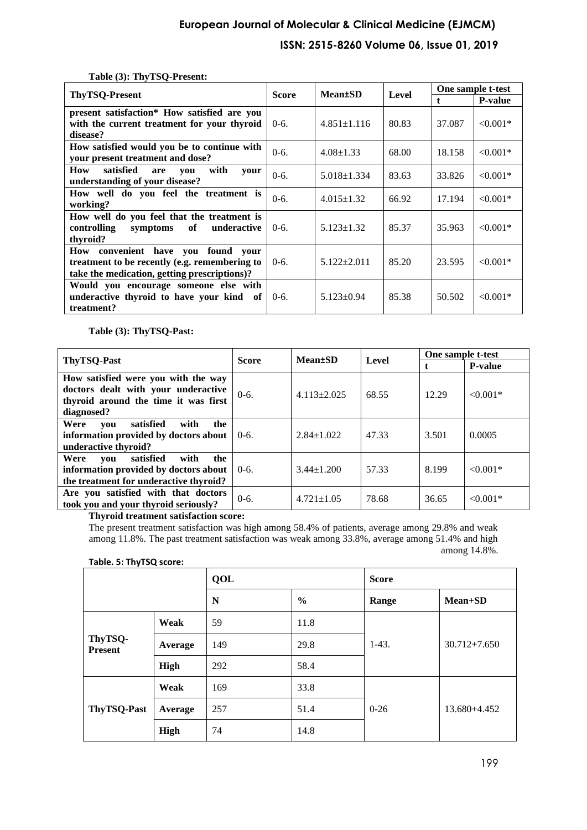# **European Journal of Molecular & Clinical Medicine (EJMCM) ISSN: 2515-8260 Volume 06, Issue 01, 2019**

| $1000 \times 100$ $100$ $-100$                 |              |                   |       |              |                   |
|------------------------------------------------|--------------|-------------------|-------|--------------|-------------------|
| ThyTSQ-Present                                 | <b>Score</b> | <b>Mean</b> tSD   | Level |              | One sample t-test |
|                                                |              |                   |       | $\mathbf{f}$ | <b>P-value</b>    |
| present satisfaction* How satisfied are you    |              |                   |       |              |                   |
| with the current treatment for your thyroid    | $0-6.$       | $4.851 \pm 1.116$ | 80.83 | 37.087       | $< 0.001*$        |
| disease?                                       |              |                   |       |              |                   |
| How satisfied would you be to continue with    |              |                   |       |              |                   |
| your present treatment and dose?               | $0-6.$       | $4.08 \pm 1.33$   | 68.00 | 18.158       | $< 0.001*$        |
| with<br>satisfied<br>How<br>are<br>you<br>vour | $0-6.$       |                   | 83.63 | 33.826       | $< 0.001*$        |
| understanding of your disease?                 |              | $5.018 \pm 1.334$ |       |              |                   |
| How well do you feel the treatment is          | $0-6.$       | $4.015 \pm 1.32$  | 66.92 | 17.194       | $< 0.001*$        |
| working?                                       |              |                   |       |              |                   |
| How well do you feel that the treatment is     |              |                   |       |              |                   |
| controlling<br>underactive<br>symptoms<br>of   | $0-6.$       | $5.123 \pm 1.32$  | 85.37 | 35.963       | $< 0.001*$        |
| thyroid?                                       |              |                   |       |              |                   |
| How convenient have you found your             |              |                   |       |              |                   |
| treatment to be recently (e.g. remembering to  | $0-6.$       | $5.122 \pm 2.011$ | 85.20 | 23.595       | $< 0.001*$        |
| take the medication, getting prescriptions)?   |              |                   |       |              |                   |
| Would you encourage someone else with          |              |                   |       |              |                   |
| underactive thyroid to have your kind of       | $0-6.$       | $5.123 \pm 0.94$  | 85.38 | 50.502       | $< 0.001*$        |
| treatment?                                     |              |                   |       |              |                   |

### **Table (3): ThyTSQ-Present:**

**Table (3): ThyTSQ-Past:**

|                                                                                                                                  |                                             |                   | Level | <b>One sample t-test</b> |                |  |
|----------------------------------------------------------------------------------------------------------------------------------|---------------------------------------------|-------------------|-------|--------------------------|----------------|--|
| <b>ThyTSQ-Past</b>                                                                                                               | <b>Mean</b> <sup>t</sup> SD<br><b>Score</b> |                   |       |                          | <b>P-value</b> |  |
| How satisfied were you with the way<br>doctors dealt with your underactive<br>thyroid around the time it was first<br>diagnosed? | $0-6.$                                      | $4.113 \pm 2.025$ | 68.55 | 12.29                    | $< 0.001*$     |  |
| Were<br>satisfied<br>with<br>the<br>vou<br>information provided by doctors about<br>underactive thyroid?                         | $0-6.$                                      | $2.84 + 1.022$    | 47.33 | 3.501                    | 0.0005         |  |
| satisfied<br>Were<br>with<br>the<br>vou<br>information provided by doctors about<br>the treatment for underactive thyroid?       | $0-6.$                                      | $3.44 \pm 1.200$  | 57.33 | 8.199                    | $< 0.001*$     |  |
| Are you satisfied with that doctors<br>took you and your thyroid seriously?                                                      | $0-6.$                                      | $4.721 \pm 1.05$  | 78.68 | 36.65                    | $< 0.001*$     |  |

**Thyroid treatment satisfaction score:**

The present treatment satisfaction was high among 58.4% of patients, average among 29.8% and weak among 11.8%. The past treatment satisfaction was weak among 33.8%, average among 51.4% and high among 14.8%.

| $1001C$ , $3011R$ , $3001C$ |             |     |               |              |                  |  |  |  |
|-----------------------------|-------------|-----|---------------|--------------|------------------|--|--|--|
|                             |             | QOL |               | <b>Score</b> |                  |  |  |  |
|                             |             | N   | $\frac{0}{0}$ | Range        | $Mean+SD$        |  |  |  |
| ThyTSQ-<br><b>Present</b>   | Weak        | 59  | 11.8          |              |                  |  |  |  |
|                             | Average     | 149 | 29.8          | $1-43.$      | $30.712 + 7.650$ |  |  |  |
|                             | High        | 292 | 58.4          |              |                  |  |  |  |
| ThyTSQ-Past                 | Weak        | 169 | 33.8          |              |                  |  |  |  |
|                             | Average     | 257 | 51.4          | $0 - 26$     | 13.680+4.452     |  |  |  |
|                             | <b>High</b> | 74  | 14.8          |              |                  |  |  |  |

**Table. 5: ThyTSQ score:**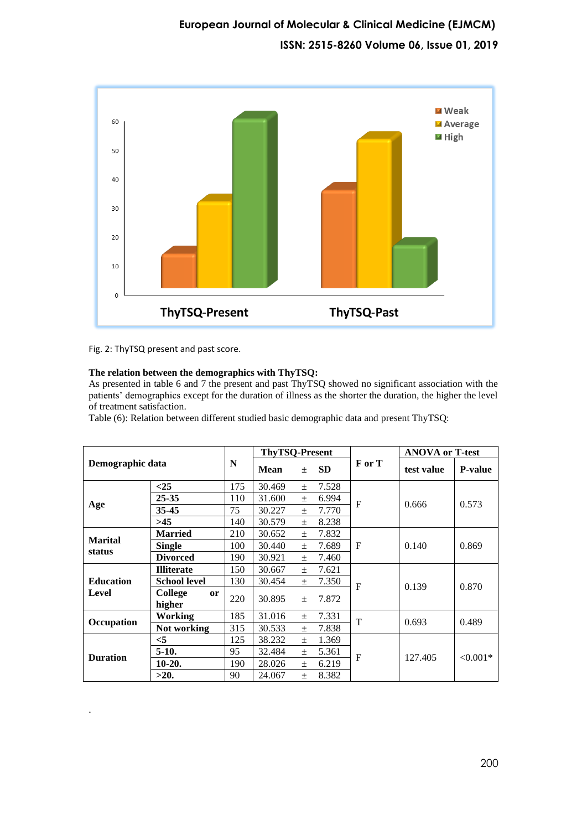

Fig. 2: ThyTSQ present and past score.

.

# **The relation between the demographics with ThyTSQ:**

As presented in table 6 and 7 the present and past ThyTSQ showed no significant association with the patients' demographics except for the duration of illness as the shorter the duration, the higher the level of treatment satisfaction.

Table (6): Relation between different studied basic demographic data and present ThyTSQ:

| Demographic data         |                                    |     | <b>ThyTSQ-Present</b> |       |           |        | <b>ANOVA or T-test</b> |                |
|--------------------------|------------------------------------|-----|-----------------------|-------|-----------|--------|------------------------|----------------|
|                          |                                    | N   | <b>Mean</b>           | $\pm$ | <b>SD</b> | F or T | test value             | <b>P-value</b> |
|                          | $<$ 25                             | 175 | 30.469                | $+$   | 7.528     |        |                        |                |
|                          | 25-35                              | 110 | 31.600                | $\pm$ | 6.994     | F      |                        |                |
| Age                      | 35-45                              | 75  | 30.227                | $\pm$ | 7.770     |        | 0.666                  | 0.573          |
|                          | >45                                | 140 | 30.579                | $\pm$ | 8.238     |        |                        |                |
|                          | <b>Married</b>                     | 210 | 30.652                | $\pm$ | 7.832     |        |                        | 0.869          |
| <b>Marital</b><br>status | <b>Single</b>                      | 100 | 30.440                | $+$   | 7.689     | F      | 0.140                  |                |
|                          | <b>Divorced</b>                    | 190 | 30.921                | $\pm$ | 7.460     |        |                        |                |
|                          | <b>Illiterate</b>                  | 150 | 30.667                | $\pm$ | 7.621     |        | 0.139                  | 0.870          |
| <b>Education</b>         | <b>School level</b>                | 130 | 30.454                | $+$   | 7.350     | F      |                        |                |
| Level                    | College<br><sub>or</sub><br>higher | 220 | 30.895                | $\pm$ | 7.872     |        |                        |                |
|                          | <b>Working</b>                     | 185 | 31.016                | $\pm$ | 7.331     | T      | 0.693                  | 0.489          |
| Occupation               | Not working                        | 315 | 30.533                | $\pm$ | 7.838     |        |                        |                |
| <b>Duration</b>          | $<$ 5                              | 125 | 38.232                | $\pm$ | 1.369     |        |                        |                |
|                          | $5-10.$                            | 95  | 32.484                | $\pm$ | 5.361     | F      | 127.405                |                |
|                          | $10-20.$                           | 190 | 28.026                | $+$   | 6.219     |        |                        | $< 0.001*$     |
|                          | >20.                               | 90  | 24.067                | $+$   | 8.382     |        |                        |                |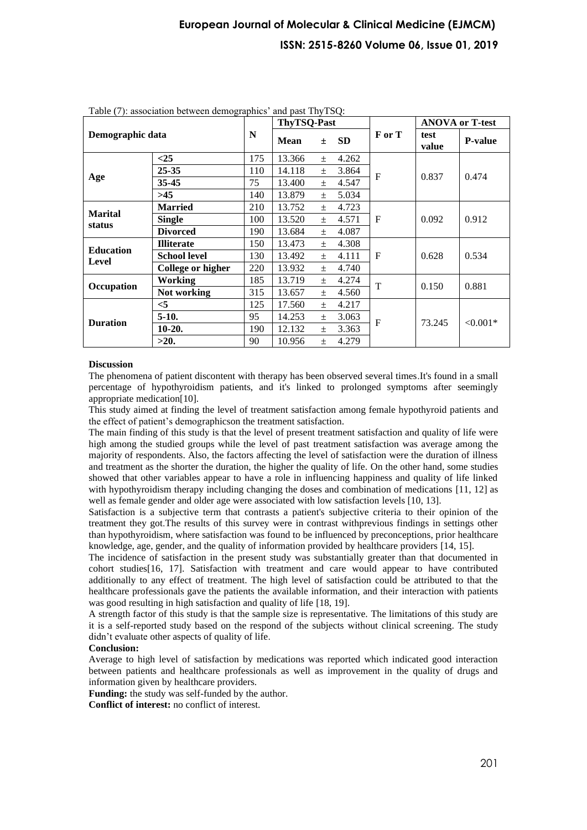# **European Journal of Molecular & Clinical Medicine (EJMCM) ISSN: 2515-8260 Volume 06, Issue 01, 2019**

| $1$ able $(7)$ , association between demographies and past $1 \text{H} y 1 \text{S} Q$ .<br>Demographic data |                     |     | <b>ThyTSQ-Past</b> |       |           |              |               | <b>ANOVA or T-test</b> |
|--------------------------------------------------------------------------------------------------------------|---------------------|-----|--------------------|-------|-----------|--------------|---------------|------------------------|
|                                                                                                              |                     | N   | <b>Mean</b>        | $\pm$ | <b>SD</b> | F or T       | test<br>value | <b>P-value</b>         |
|                                                                                                              | <25                 | 175 | 13.366             | $\pm$ | 4.262     | F            | 0.837         | 0.474                  |
|                                                                                                              | $25 - 35$           | 110 | 14.118             | $\pm$ | 3.864     |              |               |                        |
| Age                                                                                                          | 35-45               | 75  | 13.400             | $\pm$ | 4.547     |              |               |                        |
|                                                                                                              | >45                 | 140 | 13.879             | $+$   | 5.034     |              |               |                        |
| <b>Marital</b>                                                                                               | <b>Married</b>      | 210 | 13.752             | $\pm$ | 4.723     | $\mathbf{F}$ | 0.092         | 0.912                  |
| status                                                                                                       | <b>Single</b>       | 100 | 13.520             | $\pm$ | 4.571     |              |               |                        |
|                                                                                                              | <b>Divorced</b>     | 190 | 13.684             | $\pm$ | 4.087     |              |               |                        |
| <b>Education</b>                                                                                             | <b>Illiterate</b>   | 150 | 13.473             | $\pm$ | 4.308     |              | 0.628         | 0.534                  |
| Level                                                                                                        | <b>School level</b> | 130 | 13.492             | $\pm$ | 4.111     | $\mathbf{F}$ |               |                        |
|                                                                                                              | College or higher   | 220 | 13.932             | $\pm$ | 4.740     |              |               |                        |
| Occupation                                                                                                   | <b>Working</b>      | 185 | 13.719             | $\pm$ | 4.274     | T            | 0.150         | 0.881                  |
|                                                                                                              | Not working         | 315 | 13.657             | $+$   | 4.560     |              |               |                        |
| <b>Duration</b>                                                                                              | $<$ 5               | 125 | 17.560             | $\pm$ | 4.217     | F            |               | $< 0.001*$             |
|                                                                                                              | $5-10.$             | 95  | 14.253             | $\pm$ | 3.063     |              | 73.245        |                        |
|                                                                                                              | $10-20.$            | 190 | 12.132             | $\pm$ | 3.363     |              |               |                        |
|                                                                                                              | >20.                | 90  | 10.956             | $\pm$ | 4.279     |              |               |                        |

Table (7): association between demographics' and past ThyTSQ:

#### **Discussion**

The phenomena of patient discontent with therapy has been observed several times.It's found in a small percentage of hypothyroidism patients, and it's linked to prolonged symptoms after seemingly appropriate medication[\[10\]](#page-6-9).

This study aimed at finding the level of treatment satisfaction among female hypothyroid patients and the effect of patient's demographicson the treatment satisfaction.

The main finding of this study is that the level of present treatment satisfaction and quality of life were high among the studied groups while the level of past treatment satisfaction was average among the majority of respondents. Also, the factors affecting the level of satisfaction were the duration of illness and treatment as the shorter the duration, the higher the quality of life. On the other hand, some studies showed that other variables appear to have a role in influencing happiness and quality of life linked with hypothyroidism therapy including changing the doses and combination of medications [\[11,](#page-6-10) [12\]](#page-6-11) as well as female gender and older age were associated with low satisfaction levels [\[10,](#page-6-9) [13\]](#page-6-12).

Satisfaction is a subjective term that contrasts a patient's subjective criteria to their opinion of the treatment they got.The results of this survey were in contrast withprevious findings in settings other than hypothyroidism, where satisfaction was found to be influenced by preconceptions, prior healthcare knowledge, age, gender, and the quality of information provided by healthcare providers [\[14,](#page-6-13) [15\]](#page-6-14).

The incidence of satisfaction in the present study was substantially greater than that documented in cohort studies[\[16,](#page-6-15) [17\]](#page-6-16). Satisfaction with treatment and care would appear to have contributed additionally to any effect of treatment. The high level of satisfaction could be attributed to that the healthcare professionals gave the patients the available information, and their interaction with patients was good resulting in high satisfaction and quality of life [\[18,](#page-6-17) [19\]](#page-7-0).

A strength factor of this study is that the sample size is representative. The limitations of this study are it is a self-reported study based on the respond of the subjects without clinical screening. The study didn't evaluate other aspects of quality of life.

#### **Conclusion:**

Average to high level of satisfaction by medications was reported which indicated good interaction between patients and healthcare professionals as well as improvement in the quality of drugs and information given by healthcare providers.

**Funding:** the study was self-funded by the author.

**Conflict of interest:** no conflict of interest.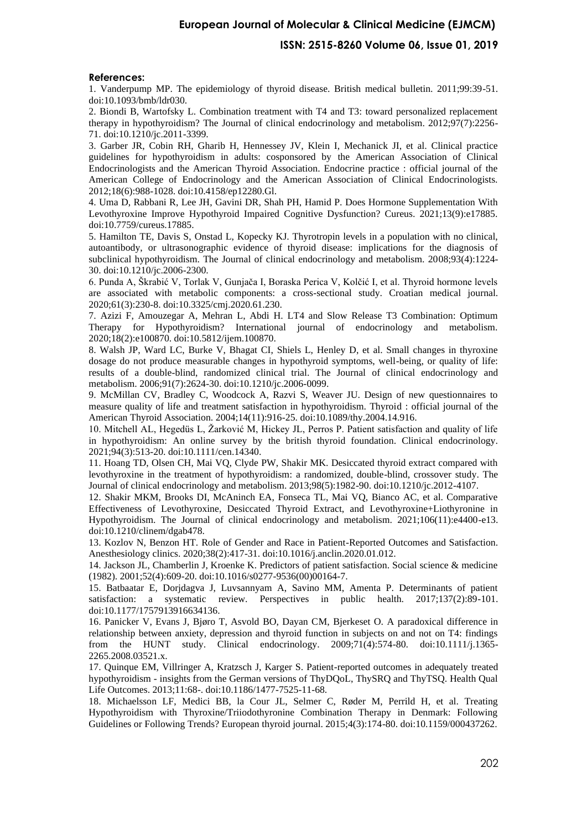# **European Journal of Molecular & Clinical Medicine (EJMCM)**

### **ISSN: 2515-8260 Volume 06, Issue 01, 2019**

#### **References:**

<span id="page-6-0"></span>1. Vanderpump MP. The epidemiology of thyroid disease. British medical bulletin. 2011;99:39-51. doi:10.1093/bmb/ldr030.

<span id="page-6-1"></span>2. Biondi B, Wartofsky L. Combination treatment with T4 and T3: toward personalized replacement therapy in hypothyroidism? The Journal of clinical endocrinology and metabolism. 2012;97(7):2256- 71. doi:10.1210/jc.2011-3399.

<span id="page-6-2"></span>3. Garber JR, Cobin RH, Gharib H, Hennessey JV, Klein I, Mechanick JI, et al. Clinical practice guidelines for hypothyroidism in adults: cosponsored by the American Association of Clinical Endocrinologists and the American Thyroid Association. Endocrine practice : official journal of the American College of Endocrinology and the American Association of Clinical Endocrinologists. 2012;18(6):988-1028. doi:10.4158/ep12280.Gl.

<span id="page-6-3"></span>4. Uma D, Rabbani R, Lee JH, Gavini DR, Shah PH, Hamid P. Does Hormone Supplementation With Levothyroxine Improve Hypothyroid Impaired Cognitive Dysfunction? Cureus. 2021;13(9):e17885. doi:10.7759/cureus.17885.

<span id="page-6-4"></span>5. Hamilton TE, Davis S, Onstad L, Kopecky KJ. Thyrotropin levels in a population with no clinical, autoantibody, or ultrasonographic evidence of thyroid disease: implications for the diagnosis of subclinical hypothyroidism. The Journal of clinical endocrinology and metabolism. 2008;93(4):1224- 30. doi:10.1210/jc.2006-2300.

<span id="page-6-5"></span>6. Punda A, Škrabić V, Torlak V, Gunjača I, Boraska Perica V, Kolčić I, et al. Thyroid hormone levels are associated with metabolic components: a cross-sectional study. Croatian medical journal. 2020;61(3):230-8. doi:10.3325/cmj.2020.61.230.

<span id="page-6-6"></span>7. Azizi F, Amouzegar A, Mehran L, Abdi H. LT4 and Slow Release T3 Combination: Optimum Therapy for Hypothyroidism? International journal of endocrinology and metabolism. 2020;18(2):e100870. doi:10.5812/ijem.100870.

<span id="page-6-7"></span>8. Walsh JP, Ward LC, Burke V, Bhagat CI, Shiels L, Henley D, et al. Small changes in thyroxine dosage do not produce measurable changes in hypothyroid symptoms, well-being, or quality of life: results of a double-blind, randomized clinical trial. The Journal of clinical endocrinology and metabolism. 2006;91(7):2624-30. doi:10.1210/jc.2006-0099.

<span id="page-6-8"></span>9. McMillan CV, Bradley C, Woodcock A, Razvi S, Weaver JU. Design of new questionnaires to measure quality of life and treatment satisfaction in hypothyroidism. Thyroid : official journal of the American Thyroid Association. 2004;14(11):916-25. doi:10.1089/thy.2004.14.916.

<span id="page-6-9"></span>10. Mitchell AL, Hegedüs L, Žarković M, Hickey JL, Perros P. Patient satisfaction and quality of life in hypothyroidism: An online survey by the british thyroid foundation. Clinical endocrinology. 2021;94(3):513-20. doi:10.1111/cen.14340.

<span id="page-6-10"></span>11. Hoang TD, Olsen CH, Mai VQ, Clyde PW, Shakir MK. Desiccated thyroid extract compared with levothyroxine in the treatment of hypothyroidism: a randomized, double-blind, crossover study. The Journal of clinical endocrinology and metabolism. 2013;98(5):1982-90. doi:10.1210/jc.2012-4107.

<span id="page-6-11"></span>12. Shakir MKM, Brooks DI, McAninch EA, Fonseca TL, Mai VQ, Bianco AC, et al. Comparative Effectiveness of Levothyroxine, Desiccated Thyroid Extract, and Levothyroxine+Liothyronine in Hypothyroidism. The Journal of clinical endocrinology and metabolism. 2021;106(11):e4400-e13. doi:10.1210/clinem/dgab478.

<span id="page-6-12"></span>13. Kozlov N, Benzon HT. Role of Gender and Race in Patient-Reported Outcomes and Satisfaction. Anesthesiology clinics. 2020;38(2):417-31. doi:10.1016/j.anclin.2020.01.012.

<span id="page-6-13"></span>14. Jackson JL, Chamberlin J, Kroenke K. Predictors of patient satisfaction. Social science & medicine (1982). 2001;52(4):609-20. doi:10.1016/s0277-9536(00)00164-7.

<span id="page-6-14"></span>15. Batbaatar E, Dorjdagva J, Luvsannyam A, Savino MM, Amenta P. Determinants of patient satisfaction: a systematic review. Perspectives in public health. 2017;137(2):89-101. doi:10.1177/1757913916634136.

<span id="page-6-15"></span>16. Panicker V, Evans J, Bjøro T, Asvold BO, Dayan CM, Bjerkeset O. A paradoxical difference in relationship between anxiety, depression and thyroid function in subjects on and not on T4: findings from the HUNT study. Clinical endocrinology. 2009;71(4):574-80. doi:10.1111/j.1365- 2265.2008.03521.x.

<span id="page-6-16"></span>17. Quinque EM, Villringer A, Kratzsch J, Karger S. Patient-reported outcomes in adequately treated hypothyroidism - insights from the German versions of ThyDQoL, ThySRQ and ThyTSQ. Health Qual Life Outcomes. 2013;11:68-. doi:10.1186/1477-7525-11-68.

<span id="page-6-17"></span>18. Michaelsson LF, Medici BB, la Cour JL, Selmer C, Røder M, Perrild H, et al. Treating Hypothyroidism with Thyroxine/Triiodothyronine Combination Therapy in Denmark: Following Guidelines or Following Trends? European thyroid journal. 2015;4(3):174-80. doi:10.1159/000437262.